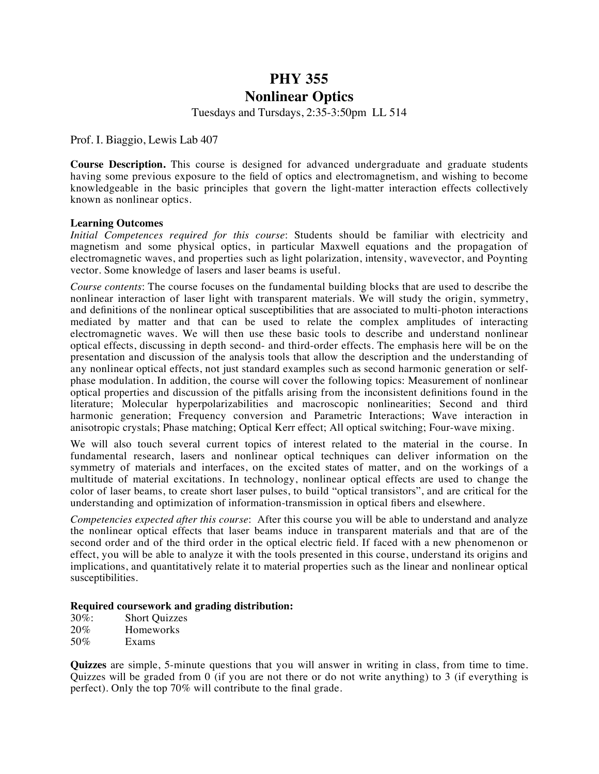## **PHY 355**

## **Nonlinear Optics**

Tuesdays and Tursdays, 2:35-3:50pm LL 514

Prof. I. Biaggio, Lewis Lab 407

**Course Description.** This course is designed for advanced undergraduate and graduate students having some previous exposure to the field of optics and electromagnetism, and wishing to become knowledgeable in the basic principles that govern the light-matter interaction effects collectively known as nonlinear optics.

## **Learning Outcomes**

*Initial Competences required for this course*: Students should be familiar with electricity and magnetism and some physical optics, in particular Maxwell equations and the propagation of electromagnetic waves, and properties such as light polarization, intensity, wavevector, and Poynting vector. Some knowledge of lasers and laser beams is useful.

*Course contents*: The course focuses on the fundamental building blocks that are used to describe the nonlinear interaction of laser light with transparent materials. We will study the origin, symmetry, and definitions of the nonlinear optical susceptibilities that are associated to multi-photon interactions mediated by matter and that can be used to relate the complex amplitudes of interacting electromagnetic waves. We will then use these basic tools to describe and understand nonlinear optical effects, discussing in depth second- and third-order effects. The emphasis here will be on the presentation and discussion of the analysis tools that allow the description and the understanding of any nonlinear optical effects, not just standard examples such as second harmonic generation or selfphase modulation. In addition, the course will cover the following topics: Measurement of nonlinear optical properties and discussion of the pitfalls arising from the inconsistent definitions found in the literature; Molecular hyperpolarizabilities and macroscopic nonlinearities; Second and third harmonic generation; Frequency conversion and Parametric Interactions; Wave interaction in anisotropic crystals; Phase matching; Optical Kerr effect; All optical switching; Four-wave mixing.

We will also touch several current topics of interest related to the material in the course. In fundamental research, lasers and nonlinear optical techniques can deliver information on the symmetry of materials and interfaces, on the excited states of matter, and on the workings of a multitude of material excitations. In technology, nonlinear optical effects are used to change the color of laser beams, to create short laser pulses, to build "optical transistors", and are critical for the understanding and optimization of information-transmission in optical fibers and elsewhere.

*Competencies expected after this course*: After this course you will be able to understand and analyze the nonlinear optical effects that laser beams induce in transparent materials and that are of the second order and of the third order in the optical electric field. If faced with a new phenomenon or effect, you will be able to analyze it with the tools presented in this course, understand its origins and implications, and quantitatively relate it to material properties such as the linear and nonlinear optical susceptibilities.

## **Required coursework and grading distribution:**

| $30\%$ : | <b>Short Quizzes</b> |
|----------|----------------------|
| 20%      | <b>Homeworks</b>     |
| 50%      | Exams                |

**Quizzes** are simple, 5-minute questions that you will answer in writing in class, from time to time. Quizzes will be graded from  $\overline{0}$  (if you are not there or do not write anything) to 3 (if everything is perfect). Only the top 70% will contribute to the final grade.